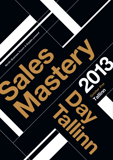